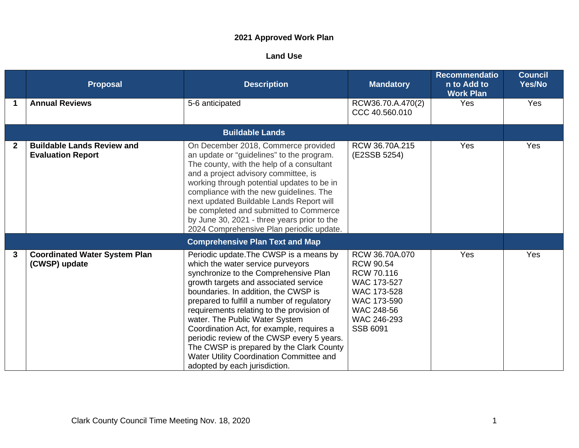## **2021 Approved Work Plan**

## **Land Use**

|              | <b>Proposal</b>                                               | <b>Description</b>                                                                                                                                                                                                                                                                                                                                                                                                                                                                                                                                      | <b>Mandatory</b>                                                                                                                                     | <b>Recommendatio</b><br>n to Add to<br><b>Work Plan</b> | <b>Council</b><br>Yes/No |
|--------------|---------------------------------------------------------------|---------------------------------------------------------------------------------------------------------------------------------------------------------------------------------------------------------------------------------------------------------------------------------------------------------------------------------------------------------------------------------------------------------------------------------------------------------------------------------------------------------------------------------------------------------|------------------------------------------------------------------------------------------------------------------------------------------------------|---------------------------------------------------------|--------------------------|
| 1            | <b>Annual Reviews</b>                                         | 5-6 anticipated                                                                                                                                                                                                                                                                                                                                                                                                                                                                                                                                         | RCW36.70.A.470(2)<br>CCC 40.560.010                                                                                                                  | Yes                                                     | Yes                      |
|              |                                                               | <b>Buildable Lands</b>                                                                                                                                                                                                                                                                                                                                                                                                                                                                                                                                  |                                                                                                                                                      |                                                         |                          |
| $\mathbf{2}$ | <b>Buildable Lands Review and</b><br><b>Evaluation Report</b> | On December 2018, Commerce provided<br>an update or "guidelines" to the program.<br>The county, with the help of a consultant<br>and a project advisory committee, is<br>working through potential updates to be in<br>compliance with the new guidelines. The<br>next updated Buildable Lands Report will<br>be completed and submitted to Commerce<br>by June 30, 2021 - three years prior to the<br>2024 Comprehensive Plan periodic update.                                                                                                         | RCW 36.70A.215<br>(E2SSB 5254)                                                                                                                       | Yes                                                     | Yes                      |
|              |                                                               | <b>Comprehensive Plan Text and Map</b>                                                                                                                                                                                                                                                                                                                                                                                                                                                                                                                  |                                                                                                                                                      |                                                         |                          |
| 3            | <b>Coordinated Water System Plan</b><br>(CWSP) update         | Periodic update. The CWSP is a means by<br>which the water service purveyors<br>synchronize to the Comprehensive Plan<br>growth targets and associated service<br>boundaries. In addition, the CWSP is<br>prepared to fulfill a number of regulatory<br>requirements relating to the provision of<br>water. The Public Water System<br>Coordination Act, for example, requires a<br>periodic review of the CWSP every 5 years.<br>The CWSP is prepared by the Clark County<br>Water Utility Coordination Committee and<br>adopted by each jurisdiction. | RCW 36.70A.070<br><b>RCW 90.54</b><br><b>RCW 70.116</b><br>WAC 173-527<br>WAC 173-528<br>WAC 173-590<br>WAC 248-56<br>WAC 246-293<br><b>SSB 6091</b> | Yes                                                     | Yes                      |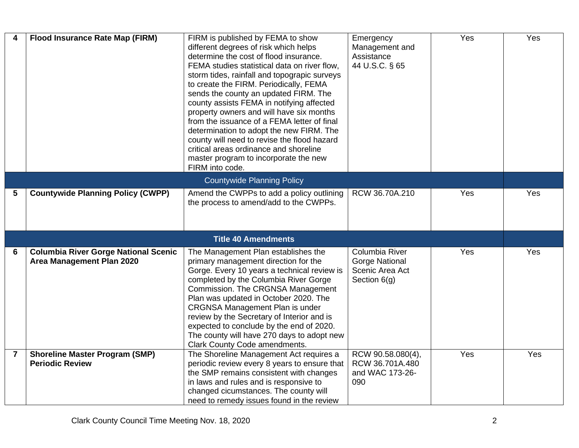| 4              | <b>Flood Insurance Rate Map (FIRM)</b>                                   | FIRM is published by FEMA to show<br>different degrees of risk which helps<br>determine the cost of flood insurance.<br>FEMA studies statistical data on river flow.<br>storm tides, rainfall and topograpic surveys<br>to create the FIRM. Periodically, FEMA<br>sends the county an updated FIRM. The<br>county assists FEMA in notifying affected<br>property owners and will have six months<br>from the issuance of a FEMA letter of final<br>determination to adopt the new FIRM. The<br>county will need to revise the flood hazard<br>critical areas ordinance and shoreline<br>master program to incorporate the new<br>FIRM into code. | Emergency<br>Management and<br>Assistance<br>44 U.S.C. § 65                | $\overline{Y}$ es | Yes |
|----------------|--------------------------------------------------------------------------|--------------------------------------------------------------------------------------------------------------------------------------------------------------------------------------------------------------------------------------------------------------------------------------------------------------------------------------------------------------------------------------------------------------------------------------------------------------------------------------------------------------------------------------------------------------------------------------------------------------------------------------------------|----------------------------------------------------------------------------|-------------------|-----|
|                |                                                                          | <b>Countywide Planning Policy</b>                                                                                                                                                                                                                                                                                                                                                                                                                                                                                                                                                                                                                |                                                                            |                   |     |
| 5              | <b>Countywide Planning Policy (CWPP)</b>                                 | Amend the CWPPs to add a policy outlining<br>the process to amend/add to the CWPPs.                                                                                                                                                                                                                                                                                                                                                                                                                                                                                                                                                              | RCW 36.70A.210                                                             | Yes               | Yes |
|                |                                                                          | <b>Title 40 Amendments</b>                                                                                                                                                                                                                                                                                                                                                                                                                                                                                                                                                                                                                       |                                                                            |                   |     |
| 6              | <b>Columbia River Gorge National Scenic</b><br>Area Management Plan 2020 | The Management Plan establishes the<br>primary management direction for the<br>Gorge. Every 10 years a technical review is<br>completed by the Columbia River Gorge<br>Commission. The CRGNSA Management<br>Plan was updated in October 2020. The<br><b>CRGNSA Management Plan is under</b><br>review by the Secretary of Interior and is<br>expected to conclude by the end of 2020.<br>The county will have 270 days to adopt new<br>Clark County Code amendments.                                                                                                                                                                             | Columbia River<br><b>Gorge National</b><br>Scenic Area Act<br>Section 6(g) | Yes               | Yes |
| $\overline{7}$ | <b>Shoreline Master Program (SMP)</b><br><b>Periodic Review</b>          | The Shoreline Management Act requires a<br>periodic review every 8 years to ensure that<br>the SMP remains consistent with changes<br>in laws and rules and is responsive to<br>changed cicumstances. The county will<br>need to remedy issues found in the review                                                                                                                                                                                                                                                                                                                                                                               | RCW 90.58.080(4),<br>RCW 36.701A.480<br>and WAC 173-26-<br>090             | Yes               | Yes |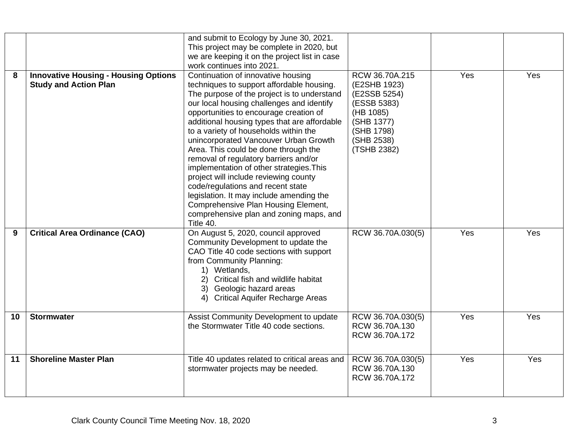|    |                                                                             | and submit to Ecology by June 30, 2021.<br>This project may be complete in 2020, but<br>we are keeping it on the project list in case<br>work continues into 2021.                                                                                                                                                                                                                                                                                                                                                                                                                                                                                                                                            |                                                                                                                                     |     |     |
|----|-----------------------------------------------------------------------------|---------------------------------------------------------------------------------------------------------------------------------------------------------------------------------------------------------------------------------------------------------------------------------------------------------------------------------------------------------------------------------------------------------------------------------------------------------------------------------------------------------------------------------------------------------------------------------------------------------------------------------------------------------------------------------------------------------------|-------------------------------------------------------------------------------------------------------------------------------------|-----|-----|
| 8  | <b>Innovative Housing - Housing Options</b><br><b>Study and Action Plan</b> | Continuation of innovative housing<br>techniques to support affordable housing.<br>The purpose of the project is to understand<br>our local housing challenges and identify<br>opportunities to encourage creation of<br>additional housing types that are affordable<br>to a variety of households within the<br>unincorporated Vancouver Urban Growth<br>Area. This could be done through the<br>removal of regulatory barriers and/or<br>implementation of other strategies. This<br>project will include reviewing county<br>code/regulations and recent state<br>legislation. It may include amending the<br>Comprehensive Plan Housing Element,<br>comprehensive plan and zoning maps, and<br>Title 40. | RCW 36.70A.215<br>(E2SHB 1923)<br>(E2SSB 5254)<br>(ESSB 5383)<br>(HB 1085)<br>(SHB 1377)<br>(SHB 1798)<br>(SHB 2538)<br>(TSHB 2382) | Yes | Yes |
| 9  | <b>Critical Area Ordinance (CAO)</b>                                        | On August 5, 2020, council approved<br>Community Development to update the<br>CAO Title 40 code sections with support<br>from Community Planning:<br>1) Wetlands,<br>Critical fish and wildlife habitat<br>Geologic hazard areas<br>3)<br><b>Critical Aquifer Recharge Areas</b><br>4)                                                                                                                                                                                                                                                                                                                                                                                                                        | RCW 36.70A.030(5)                                                                                                                   | Yes | Yes |
| 10 | <b>Stormwater</b>                                                           | Assist Community Development to update<br>the Stormwater Title 40 code sections.                                                                                                                                                                                                                                                                                                                                                                                                                                                                                                                                                                                                                              | RCW 36.70A.030(5)<br>RCW 36.70A.130<br>RCW 36.70A.172                                                                               | Yes | Yes |
| 11 | <b>Shoreline Master Plan</b>                                                | Title 40 updates related to critical areas and<br>stormwater projects may be needed.                                                                                                                                                                                                                                                                                                                                                                                                                                                                                                                                                                                                                          | RCW 36.70A.030(5)<br>RCW 36.70A.130<br>RCW 36.70A.172                                                                               | Yes | Yes |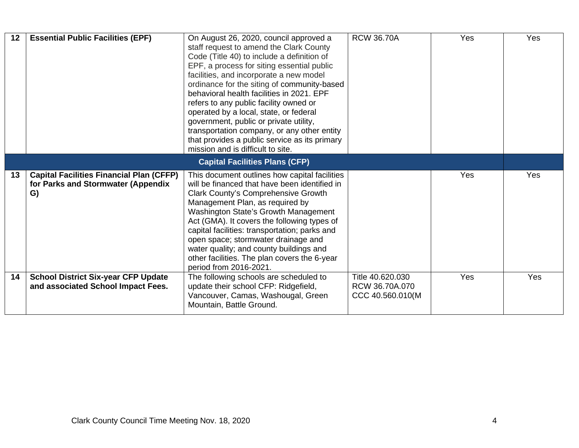| 12 | <b>Essential Public Facilities (EPF)</b>                                                    | On August 26, 2020, council approved a<br>staff request to amend the Clark County<br>Code (Title 40) to include a definition of<br>EPF, a process for siting essential public<br>facilities, and incorporate a new model<br>ordinance for the siting of community-based<br>behavioral health facilities in 2021. EPF<br>refers to any public facility owned or<br>operated by a local, state, or federal<br>government, public or private utility,<br>transportation company, or any other entity<br>that provides a public service as its primary<br>mission and is difficult to site. | <b>RCW 36.70A</b>                                      | Yes        | Yes |
|----|---------------------------------------------------------------------------------------------|-----------------------------------------------------------------------------------------------------------------------------------------------------------------------------------------------------------------------------------------------------------------------------------------------------------------------------------------------------------------------------------------------------------------------------------------------------------------------------------------------------------------------------------------------------------------------------------------|--------------------------------------------------------|------------|-----|
|    | <b>Capital Facilities Plans (CFP)</b>                                                       |                                                                                                                                                                                                                                                                                                                                                                                                                                                                                                                                                                                         |                                                        |            |     |
| 13 | <b>Capital Facilities Financial Plan (CFFP)</b><br>for Parks and Stormwater (Appendix<br>G) | This document outlines how capital facilities<br>will be financed that have been identified in<br><b>Clark County's Comprehensive Growth</b><br>Management Plan, as required by<br>Washington State's Growth Management<br>Act (GMA). It covers the following types of<br>capital facilities: transportation; parks and<br>open space; stormwater drainage and<br>water quality; and county buildings and<br>other facilities. The plan covers the 6-year<br>period from 2016-2021.                                                                                                     |                                                        | <b>Yes</b> | Yes |
| 14 | <b>School District Six-year CFP Update</b><br>and associated School Impact Fees.            | The following schools are scheduled to<br>update their school CFP: Ridgefield,<br>Vancouver, Camas, Washougal, Green<br>Mountain, Battle Ground.                                                                                                                                                                                                                                                                                                                                                                                                                                        | Title 40.620.030<br>RCW 36.70A.070<br>CCC 40.560.010(M | Yes        | Yes |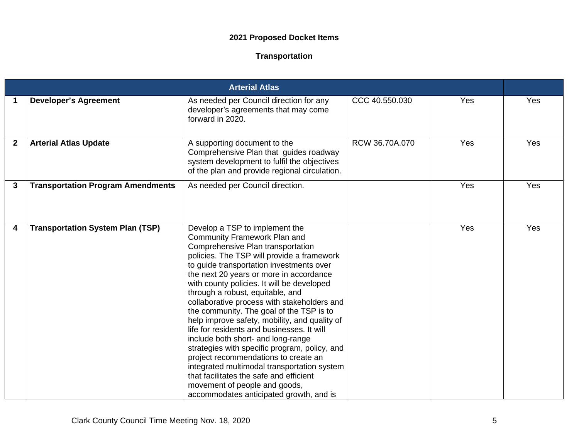## **2021 Proposed Docket Items**

## **Transportation**

|              |                                          | <b>Arterial Atlas</b>                                                                                                                                                                                                                                                                                                                                                                                                                                                                                                                                                                                                                                                                                                                                                                                                            |                |     |     |
|--------------|------------------------------------------|----------------------------------------------------------------------------------------------------------------------------------------------------------------------------------------------------------------------------------------------------------------------------------------------------------------------------------------------------------------------------------------------------------------------------------------------------------------------------------------------------------------------------------------------------------------------------------------------------------------------------------------------------------------------------------------------------------------------------------------------------------------------------------------------------------------------------------|----------------|-----|-----|
| 1            | <b>Developer's Agreement</b>             | As needed per Council direction for any<br>developer's agreements that may come<br>forward in 2020.                                                                                                                                                                                                                                                                                                                                                                                                                                                                                                                                                                                                                                                                                                                              | CCC 40.550.030 | Yes | Yes |
| $\mathbf{2}$ | <b>Arterial Atlas Update</b>             | A supporting document to the<br>Comprehensive Plan that guides roadway<br>system development to fulfil the objectives<br>of the plan and provide regional circulation.                                                                                                                                                                                                                                                                                                                                                                                                                                                                                                                                                                                                                                                           | RCW 36.70A.070 | Yes | Yes |
| 3            | <b>Transportation Program Amendments</b> | As needed per Council direction.                                                                                                                                                                                                                                                                                                                                                                                                                                                                                                                                                                                                                                                                                                                                                                                                 |                | Yes | Yes |
| 4            | <b>Transportation System Plan (TSP)</b>  | Develop a TSP to implement the<br><b>Community Framework Plan and</b><br>Comprehensive Plan transportation<br>policies. The TSP will provide a framework<br>to guide transportation investments over<br>the next 20 years or more in accordance<br>with county policies. It will be developed<br>through a robust, equitable, and<br>collaborative process with stakeholders and<br>the community. The goal of the TSP is to<br>help improve safety, mobility, and quality of<br>life for residents and businesses. It will<br>include both short- and long-range<br>strategies with specific program, policy, and<br>project recommendations to create an<br>integrated multimodal transportation system<br>that facilitates the safe and efficient<br>movement of people and goods,<br>accommodates anticipated growth, and is |                | Yes | Yes |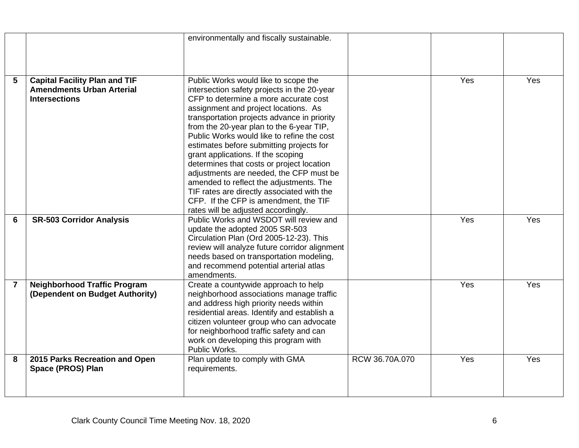| <b>Capital Facility Plan and TIF</b><br>Public Works would like to scope the<br>$5\phantom{1}$<br>Yes                        | Yes |
|------------------------------------------------------------------------------------------------------------------------------|-----|
| <b>Amendments Urban Arterial</b><br>intersection safety projects in the 20-year                                              |     |
| CFP to determine a more accurate cost<br><b>Intersections</b>                                                                |     |
| assignment and project locations. As                                                                                         |     |
| transportation projects advance in priority                                                                                  |     |
| from the 20-year plan to the 6-year TIP,                                                                                     |     |
| Public Works would like to refine the cost                                                                                   |     |
| estimates before submitting projects for                                                                                     |     |
| grant applications. If the scoping                                                                                           |     |
| determines that costs or project location                                                                                    |     |
| adjustments are needed, the CFP must be                                                                                      |     |
| amended to reflect the adjustments. The                                                                                      |     |
| TIF rates are directly associated with the                                                                                   |     |
| CFP. If the CFP is amendment, the TIF                                                                                        |     |
| rates will be adjusted accordingly.<br><b>SR-503 Corridor Analysis</b><br>Public Works and WSDOT will review and<br>Yes<br>6 | Yes |
| update the adopted 2005 SR-503                                                                                               |     |
| Circulation Plan (Ord 2005-12-23). This                                                                                      |     |
| review will analyze future corridor alignment                                                                                |     |
| needs based on transportation modeling,                                                                                      |     |
| and recommend potential arterial atlas                                                                                       |     |
| amendments.                                                                                                                  |     |
| Create a countywide approach to help<br>$\overline{7}$<br><b>Neighborhood Traffic Program</b><br>Yes                         | Yes |
| (Dependent on Budget Authority)<br>neighborhood associations manage traffic                                                  |     |
| and address high priority needs within                                                                                       |     |
| residential areas. Identify and establish a                                                                                  |     |
| citizen volunteer group who can advocate                                                                                     |     |
| for neighborhood traffic safety and can                                                                                      |     |
| work on developing this program with                                                                                         |     |
| Public Works.                                                                                                                |     |
| RCW 36.70A.070<br>2015 Parks Recreation and Open<br>Plan update to comply with GMA<br>Yes<br>8                               | Yes |
| Space (PROS) Plan<br>requirements.                                                                                           |     |
|                                                                                                                              |     |
|                                                                                                                              |     |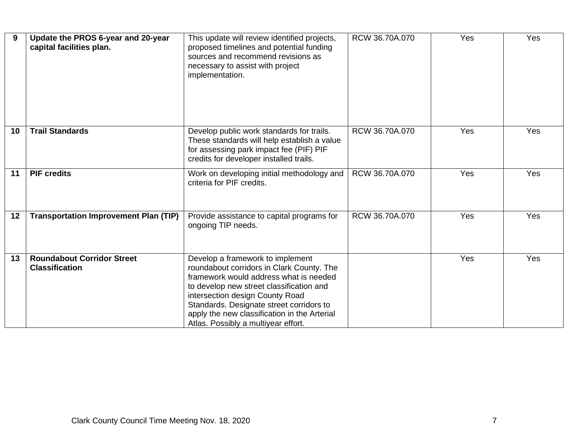| 9  | Update the PROS 6-year and 20-year<br>capital facilities plan. | This update will review identified projects,<br>proposed timelines and potential funding<br>sources and recommend revisions as<br>necessary to assist with project<br>implementation.                                                                                                                                                     | RCW 36.70A.070 | Yes | Yes |
|----|----------------------------------------------------------------|-------------------------------------------------------------------------------------------------------------------------------------------------------------------------------------------------------------------------------------------------------------------------------------------------------------------------------------------|----------------|-----|-----|
| 10 | <b>Trail Standards</b>                                         | Develop public work standards for trails.<br>These standards will help establish a value<br>for assessing park impact fee (PIF) PIF<br>credits for developer installed trails.                                                                                                                                                            | RCW 36.70A.070 | Yes | Yes |
| 11 | <b>PIF credits</b>                                             | Work on developing initial methodology and<br>criteria for PIF credits.                                                                                                                                                                                                                                                                   | RCW 36.70A.070 | Yes | Yes |
| 12 | <b>Transportation Improvement Plan (TIP)</b>                   | Provide assistance to capital programs for<br>ongoing TIP needs.                                                                                                                                                                                                                                                                          | RCW 36.70A.070 | Yes | Yes |
| 13 | <b>Roundabout Corridor Street</b><br><b>Classification</b>     | Develop a framework to implement<br>roundabout corridors in Clark County. The<br>framework would address what is needed<br>to develop new street classification and<br>intersection design County Road<br>Standards. Designate street corridors to<br>apply the new classification in the Arterial<br>Atlas. Possibly a multiyear effort. |                | Yes | Yes |